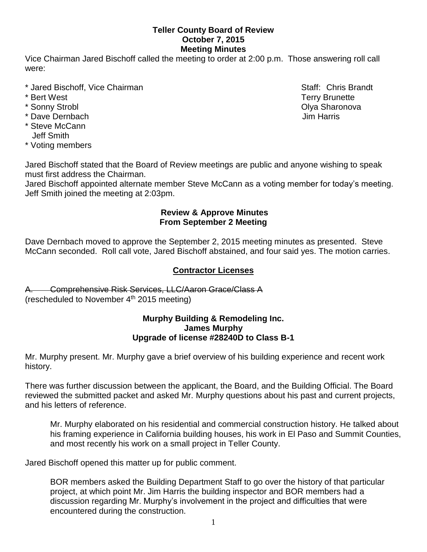### **Teller County Board of Review October 7, 2015 Meeting Minutes**

Vice Chairman Jared Bischoff called the meeting to order at 2:00 p.m. Those answering roll call were:

- \* Jared Bischoff, Vice Chairman Staff: Chris Brandt
- 
- 
- \* Dave Dernbach Jim Harris
- \* Steve McCann Jeff Smith
- \* Voting members

Jared Bischoff stated that the Board of Review meetings are public and anyone wishing to speak must first address the Chairman.

Jared Bischoff appointed alternate member Steve McCann as a voting member for today's meeting. Jeff Smith joined the meeting at 2:03pm.

### **Review & Approve Minutes From September 2 Meeting**

Dave Dernbach moved to approve the September 2, 2015 meeting minutes as presented. Steve McCann seconded.Roll call vote, Jared Bischoff abstained, and four said yes. The motion carries.

# **Contractor Licenses**

A. Comprehensive Risk Services, LLC/Aaron Grace/Class A (rescheduled to November  $4<sup>th</sup>$  2015 meeting)

#### **Murphy Building & Remodeling Inc. James Murphy Upgrade of license #28240D to Class B-1**

Mr. Murphy present. Mr. Murphy gave a brief overview of his building experience and recent work history.

There was further discussion between the applicant, the Board, and the Building Official. The Board reviewed the submitted packet and asked Mr. Murphy questions about his past and current projects, and his letters of reference.

Mr. Murphy elaborated on his residential and commercial construction history. He talked about his framing experience in California building houses, his work in El Paso and Summit Counties, and most recently his work on a small project in Teller County.

Jared Bischoff opened this matter up for public comment.

BOR members asked the Building Department Staff to go over the history of that particular project, at which point Mr. Jim Harris the building inspector and BOR members had a discussion regarding Mr. Murphy's involvement in the project and difficulties that were encountered during the construction.

\* Bert West Terry Brunette \* Sonny Strobl **Olya Sharonova Community** Community Community Community Community Community Community Community Community Community Community Community Community Community Community Community Community Community Communit